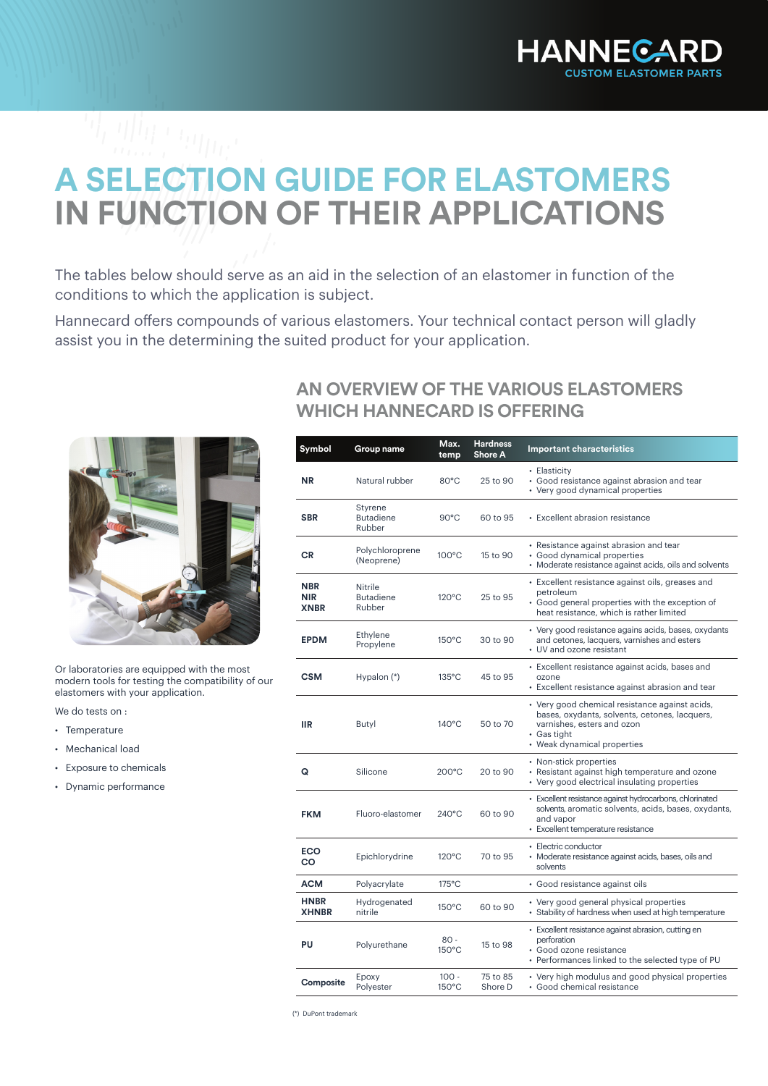

## **A SELECTION GUIDE FOR ELASTOMERS IN FUNCTION OF THEIR APPLICATIONS**

The tables below should serve as an aid in the selection of an elastomer in function of the conditions to which the application is subject.

Hannecard offers compounds of various elastomers. Your technical contact person will gladly assist you in the determining the suited product for your application.



Or laboratories are equipped with the most modern tools for testing the compatibility of our elastomers with your application.

We do tests on :

- Temperature
- Mechanical load
- Exposure to chemicals
- Dynamic performance

## **AN OVERVIEW OF THE VARIOUS ELASTOMERS WHICH HANNECARD IS OFFERING**

| Symbol                                  | Group name                                   | Max.<br>temp               | <b>Hardness</b><br><b>Shore A</b> | <b>Important characteristics</b>                                                                                                                                            |  |  |  |  |
|-----------------------------------------|----------------------------------------------|----------------------------|-----------------------------------|-----------------------------------------------------------------------------------------------------------------------------------------------------------------------------|--|--|--|--|
| <b>NR</b>                               | Natural rubber                               | 80°C                       | 25 to 90                          | • Elasticity<br>· Good resistance against abrasion and tear<br>• Very good dynamical properties                                                                             |  |  |  |  |
| <b>SBR</b>                              | <b>Styrene</b><br><b>Butadiene</b><br>Rubber | $90^{\circ}$ C             | 60 to 95                          | • Excellent abrasion resistance                                                                                                                                             |  |  |  |  |
| <b>CR</b>                               | Polychloroprene<br>(Neoprene)                | $100^{\circ}$ C            | 15 to 90                          | • Resistance against abrasion and tear<br>• Good dynamical properties<br>• Moderate resistance against acids, oils and solvents                                             |  |  |  |  |
| <b>NBR</b><br><b>NIR</b><br><b>XNBR</b> | Nitrile<br><b>Butadiene</b><br>Rubber        | $120^{\circ}$ C            | 25 to 95                          | · Excellent resistance against oils, greases and<br>petroleum<br>• Good general properties with the exception of<br>heat resistance, which is rather limited                |  |  |  |  |
| <b>EPDM</b>                             | Ethylene<br>Propylene                        | 150°C                      | 30 to 90                          | • Very good resistance agains acids, bases, oxydants<br>and cetones, lacquers, varnishes and esters<br>• UV and ozone resistant                                             |  |  |  |  |
| <b>CSM</b>                              | Hypalon (*)                                  | $135^{\circ}$ C            | 45 to 95                          | • Excellent resistance against acids, bases and<br>ozone<br>• Excellent resistance against abrasion and tear                                                                |  |  |  |  |
| <b>IIR</b>                              | Butyl                                        | $140^{\circ}$ C            | 50 to 70                          | • Very good chemical resistance against acids,<br>bases, oxydants, solvents, cetones, lacquers,<br>varnishes, esters and ozon<br>• Gas tight<br>• Weak dynamical properties |  |  |  |  |
| Q                                       | Silicone                                     | $200^{\circ}$ C            | 20 to 90                          | • Non-stick properties<br>• Resistant against high temperature and ozone<br>• Very good electrical insulating properties                                                    |  |  |  |  |
| <b>FKM</b>                              | Fluoro-elastomer                             | $240^{\circ}$ C            | 60 to 90                          | • Excellent resistance against hydrocarbons, chlorinated<br>solvents, aromatic solvents, acids, bases, oxydants,<br>and vapor<br>• Excellent temperature resistance         |  |  |  |  |
| <b>ECO</b><br>CO                        | Epichlorydrine                               | $120^{\circ}$ C            | 70 to 95                          | • Electric conductor<br>• Moderate resistance against acids, bases, oils and<br>solvents                                                                                    |  |  |  |  |
| <b>ACM</b>                              | Polyacrylate                                 | $175^{\circ}$ C            |                                   | · Good resistance against oils                                                                                                                                              |  |  |  |  |
| <b>HNBR</b><br><b>XHNBR</b>             | Hydrogenated<br>nitrile                      | $150^{\circ}$ C            | 60 to 90                          | • Very good general physical properties<br>• Stability of hardness when used at high temperature                                                                            |  |  |  |  |
| PU                                      | Polyurethane                                 | $80 -$<br>150°C            | 15 to 98                          | · Excellent resistance against abrasion, cutting en<br>perforation<br>· Good ozone resistance<br>• Performances linked to the selected type of PU                           |  |  |  |  |
| Composite                               | Epoxy<br>Polyester                           | $100 -$<br>$150^{\circ}$ C | 75 to 85<br>Shore D               | • Very high modulus and good physical properties<br>· Good chemical resistance                                                                                              |  |  |  |  |

(\*) DuPont trademark